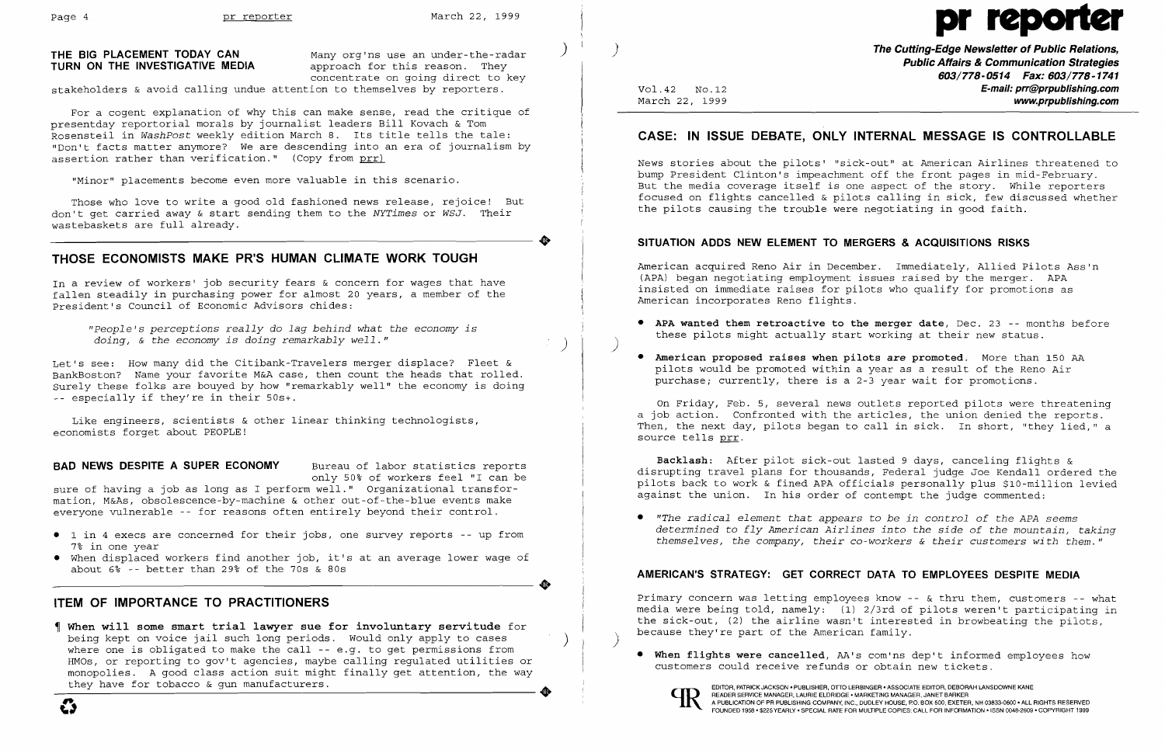**•** 

**•** 

For a cogent explanation of why this can make sense, read the critique of presentday reportorial morals by journalist leaders Bill Kovach & Tom Rosensteil in *WashPost* weekly edition March 8. Its title tells the tale: "Don't facts matter anymore? We are descending into an era of journalism by assertion rather than verification." (Copy from  $prr$ )

### **THE BIG PLACEMENT TODAY CAN TURN ON THE INVESTIGATIVE MEDIA**

Many org'ns use an under-the-radar approach for this reason. They concentrate on going direct to key

stakeholders & avoid calling undue attention to themselves by reporters.

In a review of workers' job security fears  $\&$  concern for wages that have fallen steadily in purchasing power for almost 20 years, a member of the President's Council of Economic Advisors chides:

Let's see: How many did the Citibank-Travelers merger displace? Fleet & BankBoston? Name your favorite M&A case, then count the heads that rolled. Surely these folks are bouyed by how "remarkably well" the economy is doing  $\sim$  especially if they're in their 50s+.

"Minor" placements become even more valuable in this scenario.

Those who love to write a good old fashioned news release, rejoice! But don't get carried away & start sending them to the *NYTimes* or *WSJ.* Their wastebaskets are full already.

# **THOSE ECONOMISTS MAKE PR'S HUMAN CLIMATE WORK TOUGH**

*"people's perceptions really* do *lag behind what the economy is doing,* & *the economy is doing remarkably well."* )

Like engineers, scientists & other linear thinking technologists, economists forget about PEOPLE!

### **BAD NEWS DESPITE A SUPER ECONOMY** Bureau of labor statistics reports

only 50% of workers feel "I can be

sure of having a job as long as I perform well." Organizational transformation, M&As, obsolescence-by-machine & other out-of-the-blue events make everyone vulnerable -- for reasons often entirely beyond their control.

- • 1 in 4 execs are concerned for their jobs, one survey reports -- up from 7% in one year
- • When displaced workers find another job, it's at an average lower wage of about 6% -- better than 29% of the 70s & 80s

## **ITEM OF IMPORTANCE TO PRACTITIONERS**

**When will some smart trial lawyer sue for involuntary servitude** for being kept on voice jail such long periods. Would only apply to cases where one is obligated to make the call -- e.g. to get permissions from HMOs, or reporting to gov't agencies, maybe calling regulated utilities or monopolies. A good class action suit might finally get attention, the way they have for tobacco & gun manufacturers. HMOs, or reporting to gov't agencies, maybe calling regulated utilities or monopolies. A good class action suit might finally get attention, the way they have for tobacco & gun manufacturers.

Primary concern was letting employees know -- & thru them, customers -- what media were being told, namely: (1) 2/3rd of pilots weren't participating in the sick-out, (2) the airline wasn't interested in browbeating the pilots, because they're part of the American family.



# Page 4 pr reporter March 22, 1999 pr reporter

)

Vol.42 NO.12 March 22, 1999

**The Cutting-Edge Newsletter of Public Relations, Public Affairs & Communication Strategies 603/778-0514 Fax: 603/778-1741 E-mail: prr@prpublishing.com www.prpublishing.com** 

# **CASE: IN ISSUE DEBATE, ONLY INTERNAL MESSAGE IS CONTROLLABLE**

News stories about the pilots' "sick-out" at American Airlines threatened to bump President Clinton's impeachment off the front pages in mid-February. But the media coverage itself is one aspect of the story. While reporters focused on flights cancelled & pilots calling in sick, few discussed whether the pilots causing the trouble were negotiating in good faith.

### **SITUATION ADDS NEW ELEMENT TO MERGERS & ACQUISITIONS RISKS**

American acquired Reno Air in December. Immediately, Allied pilots Ass'n (APA) began negotiating employment issues raised by the merger. APA insisted on immediate raises for pilots who qualify for promotions as American incorporates Reno flights.

• **APA wanted them retroactive to the merger date,** Dec. 23 -- months before

)

- these pilots might actually start working at their new status.
- purchase; currently, there is a 2-3 year wait for promotions.

• **American proposed raises when pilots are promoted.** More than 150 AA pilots would be promoted within a year as a result of the Reno Air

On Friday, Feb. 5, several news outlets reported pilots were threatening a job action. Confronted with the articles, the union denied the reports. Then, the next day, pilots began to call in sick. In short, "they lied," a source tells prr.

**Backlash:** After pilot sick-out lasted 9 days, canceling flights & disrupting travel plans for thousands, Federal judge Joe Kendall ordered the pilots back to work & fined APA officials personally plus \$10-million levied against the union. In his order of contempt the judge commented:

• *"The radical element that appears* to *be in control* of *the APA seems* 

*determined* to *fly American Airlines into the side* of *the mountain, taking themselves, the company, their co-workers* & *their customers with them."* 

## **AMERICAN'S STRATEGY: GET CORRECT DATA TO EMPLOYEES DESPITE MEDIA**

• **When flights were cancelled,** AA's com'ns dep't informed employees how

customers could receive refunds or obtain new tickets.